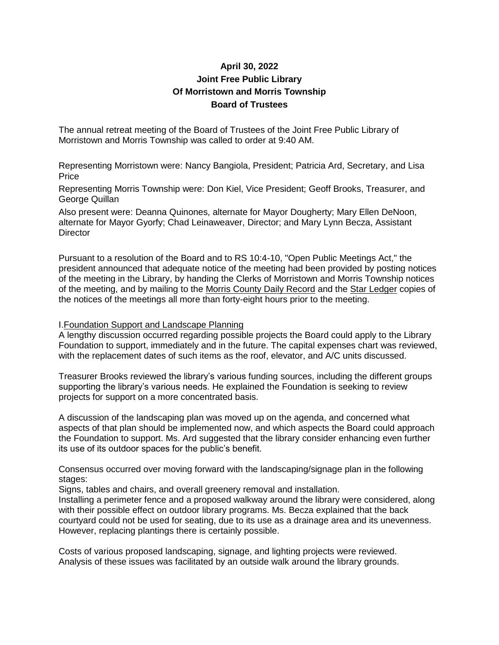# **April 30, 2022 Joint Free Public Library Of Morristown and Morris Township Board of Trustees**

The annual retreat meeting of the Board of Trustees of the Joint Free Public Library of Morristown and Morris Township was called to order at 9:40 AM.

Representing Morristown were: Nancy Bangiola, President; Patricia Ard, Secretary, and Lisa Price

Representing Morris Township were: Don Kiel, Vice President; Geoff Brooks, Treasurer, and George Quillan

Also present were: Deanna Quinones, alternate for Mayor Dougherty; Mary Ellen DeNoon, alternate for Mayor Gyorfy; Chad Leinaweaver, Director; and Mary Lynn Becza, Assistant **Director** 

Pursuant to a resolution of the Board and to RS 10:4-10, "Open Public Meetings Act," the president announced that adequate notice of the meeting had been provided by posting notices of the meeting in the Library, by handing the Clerks of Morristown and Morris Township notices of the meeting, and by mailing to the Morris County Daily Record and the Star Ledger copies of the notices of the meetings all more than forty-eight hours prior to the meeting.

### I.Foundation Support and Landscape Planning

A lengthy discussion occurred regarding possible projects the Board could apply to the Library Foundation to support, immediately and in the future. The capital expenses chart was reviewed, with the replacement dates of such items as the roof, elevator, and A/C units discussed.

Treasurer Brooks reviewed the library's various funding sources, including the different groups supporting the library's various needs. He explained the Foundation is seeking to review projects for support on a more concentrated basis.

A discussion of the landscaping plan was moved up on the agenda, and concerned what aspects of that plan should be implemented now, and which aspects the Board could approach the Foundation to support. Ms. Ard suggested that the library consider enhancing even further its use of its outdoor spaces for the public's benefit.

Consensus occurred over moving forward with the landscaping/signage plan in the following stages:

Signs, tables and chairs, and overall greenery removal and installation.

Installing a perimeter fence and a proposed walkway around the library were considered, along with their possible effect on outdoor library programs. Ms. Becza explained that the back courtyard could not be used for seating, due to its use as a drainage area and its unevenness. However, replacing plantings there is certainly possible.

Costs of various proposed landscaping, signage, and lighting projects were reviewed. Analysis of these issues was facilitated by an outside walk around the library grounds.